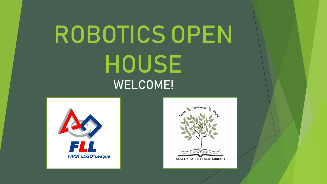# ROBOTICS OPEN HOUSE WELCOME!



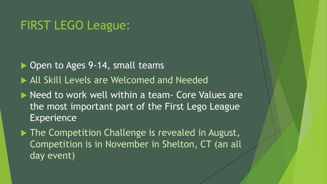#### FIRST LEGO League:

▶ Open to Ages 9-14, small teams

All Skill Levels are Welcomed and Needed

Need to work well within a team- Core Values are the most important part of the First Lego League **Experience** 

▶ The Competition Challenge is revealed in August, Competition is in November in Shelton, CT (an all day event)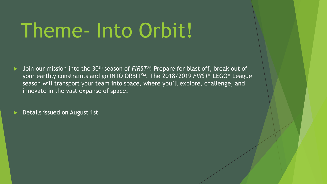# Theme- Into Orbit!

- Join our mission into the 30th season of *FIRST*®! Prepare for blast off, break out of your earthly constraints and go INTO ORBITSM. The 2018/2019 *FIRST*® LEGO® League season will transport your team into space, where you'll explore, challenge, and innovate in the vast expanse of space.
- Details issued on August 1st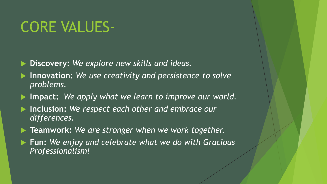## CORE VALUES-

**Discovery:** *We explore new skills and ideas.*

- **Innovation:** *We use creativity and persistence to solve problems.*
- **Impact:** *We apply what we learn to improve our world.*
- **Inclusion:** *We respect each other and embrace our differences.*
- **Teamwork:** *We are stronger when we work together.*
- **Fun:** *We enjoy and celebrate what we do with Gracious Professionalism!*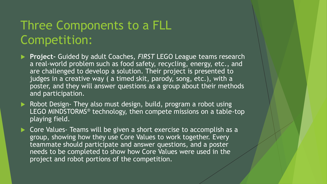## Three Components to a FLL Competition:

- **Project-** Guided by adult Coaches, *FIRST* LEGO League teams research a real-world problem such as food safety, recycling, energy, etc., and are challenged to develop a solution. Their project is presented to judges in a creative way ( a timed skit, parody, song, etc.), with a poster, and they will answer questions as a group about their methods and participation.
- Robot Design- They also must design, build, program a robot using LEGO MINDSTORMS® technology, then compete missions on a table-top playing field.
- ▶ Core Values- Teams will be given a short exercise to accomplish as a group, showing how they use Core Values to work together. Every teammate should participate and answer questions, and a poster needs to be completed to show how Core Values were used in the project and robot portions of the competition.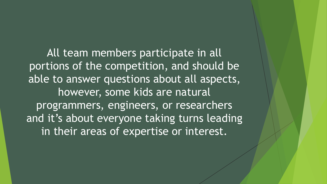All team members participate in all portions of the competition, and should be able to answer questions about all aspects, however, some kids are natural programmers, engineers, or researchers and it's about everyone taking turns leading in their areas of expertise or interest.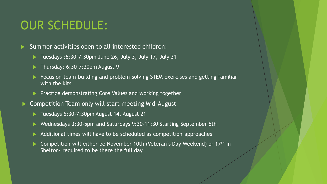### OUR SCHEDULE:

Summer activities open to all interested children:

- $\blacktriangleright$  Tuesdays :6:30-7:30pm June 26, July 3, July 17, July 31
- $\blacktriangleright$  Thursday: 6:30-7:30pm August 9
- Focus on team-building and problem-solving STEM exercises and getting familiar with the kits
- **Practice demonstrating Core Values and working together**
- Competition Team only will start meeting Mid-August
	- ▶ Tuesdays 6:30-7:30pm August 14, August 21
	- ▶ Wednesdays 3:30-5pm and Saturdays 9:30-11:30 Starting September 5th
	- Additional times will have to be scheduled as competition approaches
	- Competition will either be November 10th (Veteran's Day Weekend) or 17<sup>th</sup> in Shelton- required to be there the full day